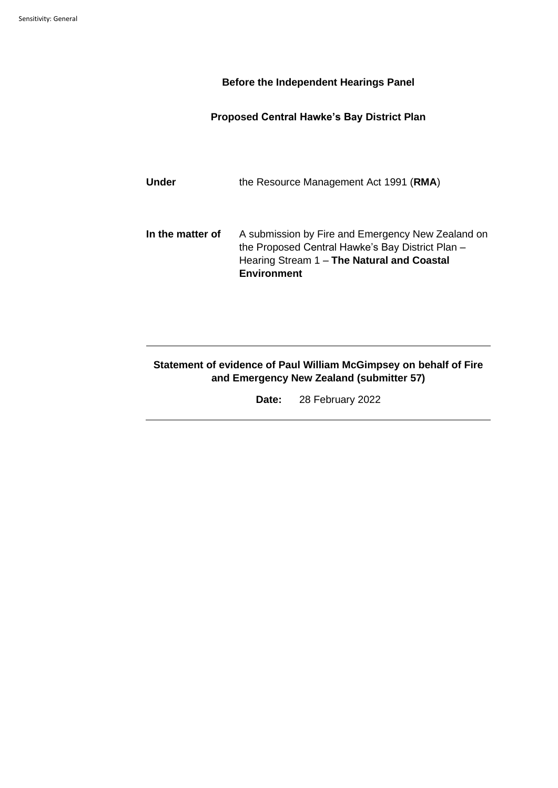## **Before the Independent Hearings Panel**

## **Proposed Central Hawke's Bay District Plan**

Under the Resource Management Act 1991 (RMA)

**In the matter of** A submission by Fire and Emergency New Zealand on the Proposed Central Hawke's Bay District Plan – Hearing Stream 1 – **The Natural and Coastal Environment**

# **Statement of evidence of Paul William McGimpsey on behalf of Fire and Emergency New Zealand (submitter 57)**

**Date:** 28 February 2022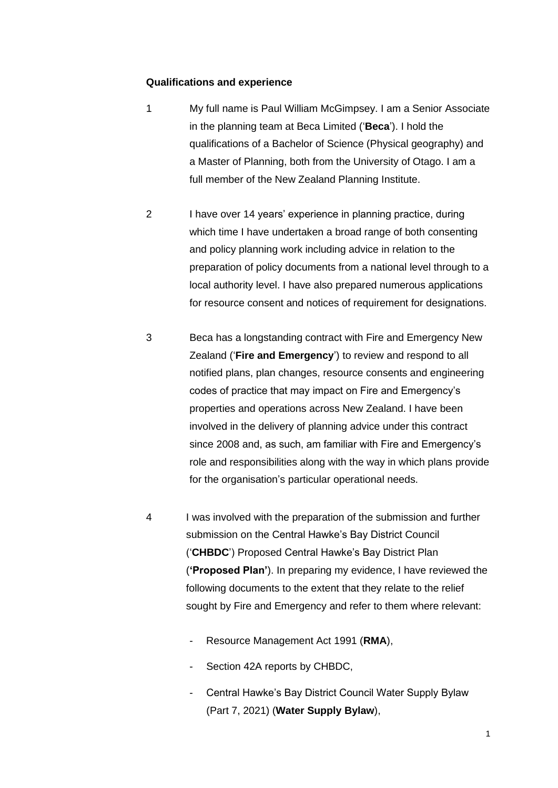### **Qualifications and experience**

- 1 My full name is Paul William McGimpsey. I am a Senior Associate in the planning team at Beca Limited ('**Beca**'). I hold the qualifications of a Bachelor of Science (Physical geography) and a Master of Planning, both from the University of Otago. I am a full member of the New Zealand Planning Institute.
- 2 I have over 14 years' experience in planning practice, during which time I have undertaken a broad range of both consenting and policy planning work including advice in relation to the preparation of policy documents from a national level through to a local authority level. I have also prepared numerous applications for resource consent and notices of requirement for designations.
- 3 Beca has a longstanding contract with Fire and Emergency New Zealand ('**Fire and Emergency**') to review and respond to all notified plans, plan changes, resource consents and engineering codes of practice that may impact on Fire and Emergency's properties and operations across New Zealand. I have been involved in the delivery of planning advice under this contract since 2008 and, as such, am familiar with Fire and Emergency's role and responsibilities along with the way in which plans provide for the organisation's particular operational needs.
- 4 I was involved with the preparation of the submission and further submission on the Central Hawke's Bay District Council ('**CHBDC**') Proposed Central Hawke's Bay District Plan (**'Proposed Plan'**). In preparing my evidence, I have reviewed the following documents to the extent that they relate to the relief sought by Fire and Emergency and refer to them where relevant:
	- Resource Management Act 1991 (**RMA**),
	- Section 42A reports by CHBDC,
	- Central Hawke's Bay District Council Water Supply Bylaw (Part 7, 2021) (**Water Supply Bylaw**),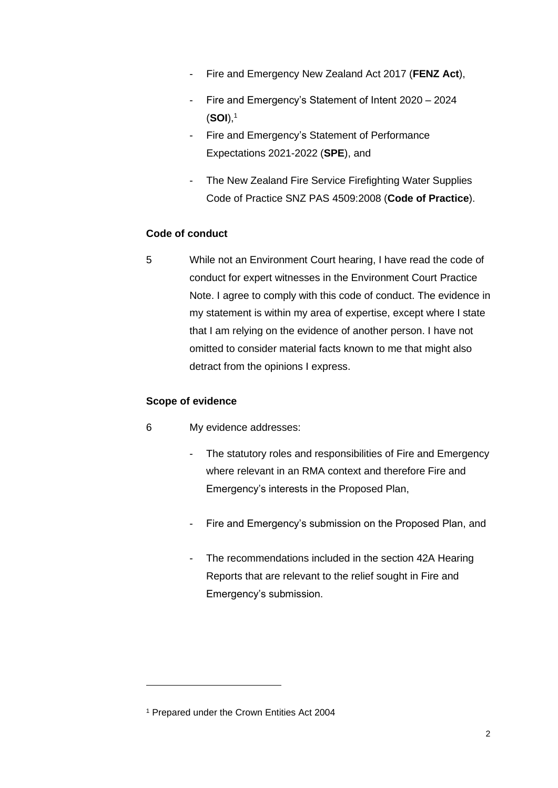- Fire and Emergency New Zealand Act 2017 (**FENZ Act**),
- Fire and Emergency's Statement of Intent 2020 2024 (**SOI**), 1
- Fire and Emergency's Statement of Performance Expectations 2021-2022 (**SPE**), and
- The New Zealand Fire Service Firefighting Water Supplies Code of Practice SNZ PAS 4509:2008 (**Code of Practice**).

# **Code of conduct**

5 While not an Environment Court hearing, I have read the code of conduct for expert witnesses in the Environment Court Practice Note. I agree to comply with this code of conduct. The evidence in my statement is within my area of expertise, except where I state that I am relying on the evidence of another person. I have not omitted to consider material facts known to me that might also detract from the opinions I express.

## **Scope of evidence**

- 6 My evidence addresses:
	- The statutory roles and responsibilities of Fire and Emergency where relevant in an RMA context and therefore Fire and Emergency's interests in the Proposed Plan,
	- Fire and Emergency's submission on the Proposed Plan, and
	- The recommendations included in the section 42A Hearing Reports that are relevant to the relief sought in Fire and Emergency's submission.

<sup>1</sup> Prepared under the Crown Entities Act 2004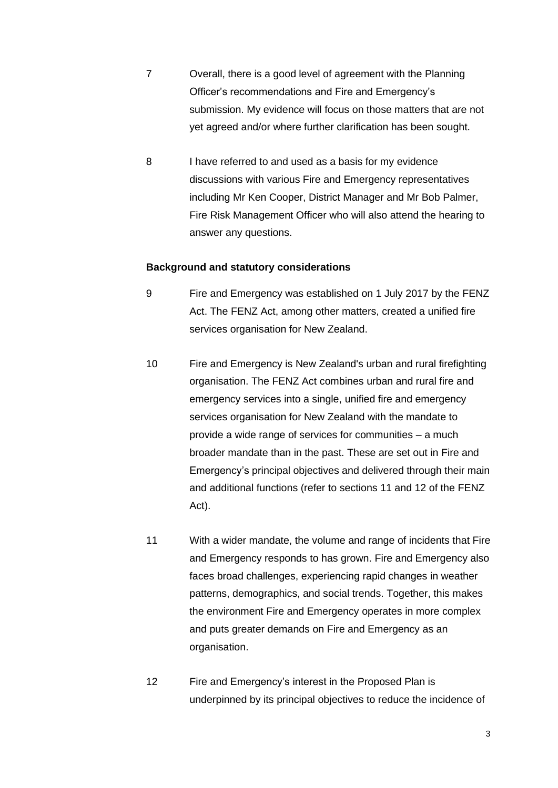- 7 Overall, there is a good level of agreement with the Planning Officer's recommendations and Fire and Emergency's submission. My evidence will focus on those matters that are not yet agreed and/or where further clarification has been sought.
- 8 I have referred to and used as a basis for my evidence discussions with various Fire and Emergency representatives including Mr Ken Cooper, District Manager and Mr Bob Palmer, Fire Risk Management Officer who will also attend the hearing to answer any questions.

#### **Background and statutory considerations**

- 9 Fire and Emergency was established on 1 July 2017 by the FENZ Act. The FENZ Act, among other matters, created a unified fire services organisation for New Zealand.
- 10 Fire and Emergency is New Zealand's urban and rural firefighting organisation. The FENZ Act combines urban and rural fire and emergency services into a single, unified fire and emergency services organisation for New Zealand with the mandate to provide a wide range of services for communities – a much broader mandate than in the past. These are set out in Fire and Emergency's principal objectives and delivered through their main and additional functions (refer to sections 11 and 12 of the FENZ Act).
- 11 With a wider mandate, the volume and range of incidents that Fire and Emergency responds to has grown. Fire and Emergency also faces broad challenges, experiencing rapid changes in weather patterns, demographics, and social trends. Together, this makes the environment Fire and Emergency operates in more complex and puts greater demands on Fire and Emergency as an organisation.
- 12 Fire and Emergency's interest in the Proposed Plan is underpinned by its principal objectives to reduce the incidence of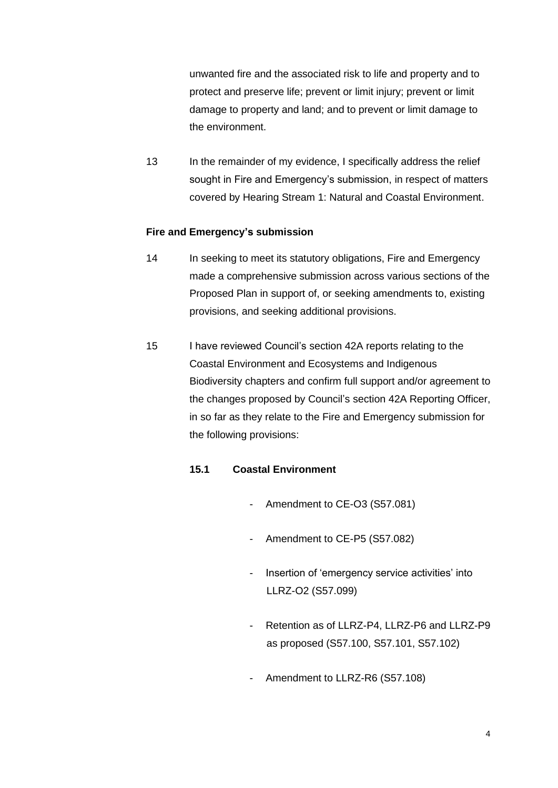unwanted fire and the associated risk to life and property and to protect and preserve life; prevent or limit injury; prevent or limit damage to property and land; and to prevent or limit damage to the environment.

13 In the remainder of my evidence, I specifically address the relief sought in Fire and Emergency's submission, in respect of matters covered by Hearing Stream 1: Natural and Coastal Environment.

## **Fire and Emergency's submission**

- 14 In seeking to meet its statutory obligations, Fire and Emergency made a comprehensive submission across various sections of the Proposed Plan in support of, or seeking amendments to, existing provisions, and seeking additional provisions.
- 15 I have reviewed Council's section 42A reports relating to the Coastal Environment and Ecosystems and Indigenous Biodiversity chapters and confirm full support and/or agreement to the changes proposed by Council's section 42A Reporting Officer, in so far as they relate to the Fire and Emergency submission for the following provisions:

# **15.1 Coastal Environment**

- Amendment to CE-O3 (S57.081)
- Amendment to CE-P5 (S57.082)
- Insertion of 'emergency service activities' into LLRZ-O2 (S57.099)
- Retention as of LLRZ-P4, LLRZ-P6 and LLRZ-P9 as proposed (S57.100, S57.101, S57.102)
- Amendment to LLRZ-R6 (S57.108)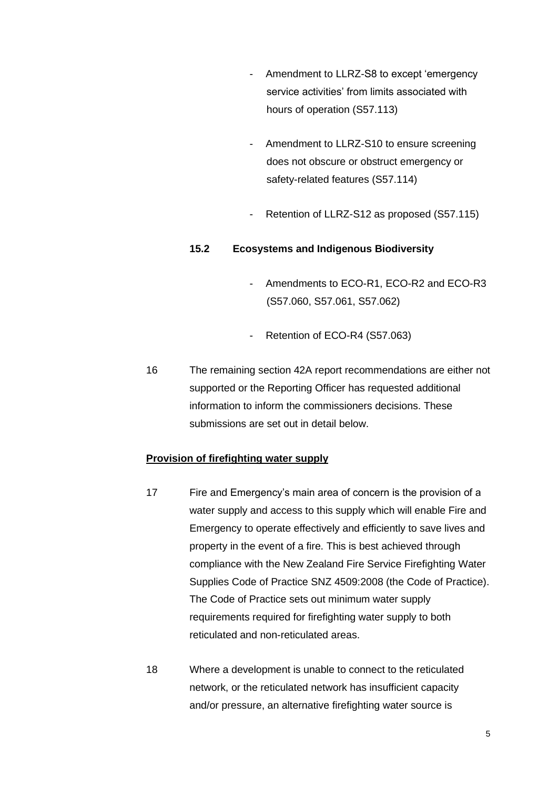- Amendment to LLRZ-S8 to except 'emergency service activities' from limits associated with hours of operation (S57.113)
- Amendment to LLRZ-S10 to ensure screening does not obscure or obstruct emergency or safety-related features (S57.114)
- Retention of LLRZ-S12 as proposed (S57.115)

### **15.2 Ecosystems and Indigenous Biodiversity**

- Amendments to ECO-R1, ECO-R2 and ECO-R3 (S57.060, S57.061, S57.062)
- Retention of ECO-R4 (S57.063)
- 16 The remaining section 42A report recommendations are either not supported or the Reporting Officer has requested additional information to inform the commissioners decisions. These submissions are set out in detail below.

### **Provision of firefighting water supply**

- 17 Fire and Emergency's main area of concern is the provision of a water supply and access to this supply which will enable Fire and Emergency to operate effectively and efficiently to save lives and property in the event of a fire. This is best achieved through compliance with the New Zealand Fire Service Firefighting Water Supplies Code of Practice SNZ 4509:2008 (the Code of Practice). The Code of Practice sets out minimum water supply requirements required for firefighting water supply to both reticulated and non-reticulated areas.
- 18 Where a development is unable to connect to the reticulated network, or the reticulated network has insufficient capacity and/or pressure, an alternative firefighting water source is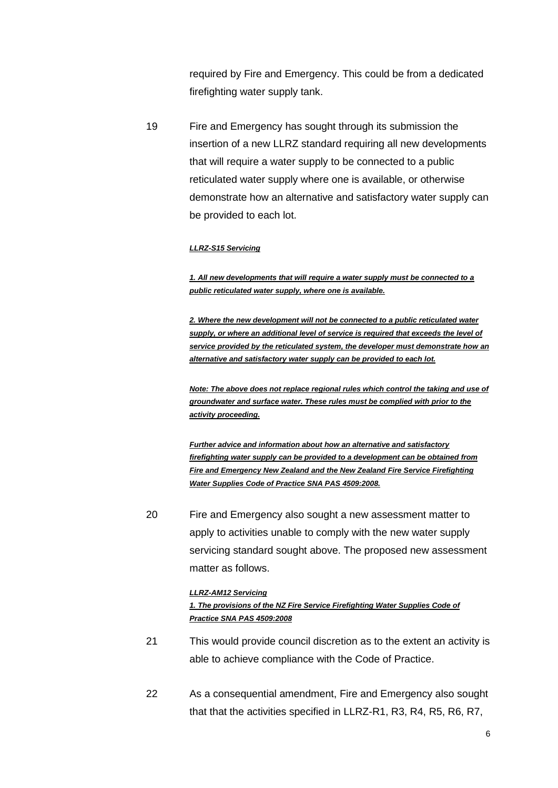required by Fire and Emergency. This could be from a dedicated firefighting water supply tank.

19 Fire and Emergency has sought through its submission the insertion of a new LLRZ standard requiring all new developments that will require a water supply to be connected to a public reticulated water supply where one is available, or otherwise demonstrate how an alternative and satisfactory water supply can be provided to each lot.

#### *LLRZ-S15 Servicing*

*1. All new developments that will require a water supply must be connected to a public reticulated water supply, where one is available.*

*2. Where the new development will not be connected to a public reticulated water supply, or where an additional level of service is required that exceeds the level of service provided by the reticulated system, the developer must demonstrate how an alternative and satisfactory water supply can be provided to each lot.*

*Note: The above does not replace regional rules which control the taking and use of groundwater and surface water. These rules must be complied with prior to the activity proceeding.*

*Further advice and information about how an alternative and satisfactory firefighting water supply can be provided to a development can be obtained from Fire and Emergency New Zealand and the New Zealand Fire Service Firefighting Water Supplies Code of Practice SNA PAS 4509:2008.*

20 Fire and Emergency also sought a new assessment matter to apply to activities unable to comply with the new water supply servicing standard sought above. The proposed new assessment matter as follows.

#### *LLRZ-AM12 Servicing*

#### *1. The provisions of the NZ Fire Service Firefighting Water Supplies Code of Practice SNA PAS 4509:2008*

- 21 This would provide council discretion as to the extent an activity is able to achieve compliance with the Code of Practice.
- 22 As a consequential amendment, Fire and Emergency also sought that that the activities specified in LLRZ-R1, R3, R4, R5, R6, R7,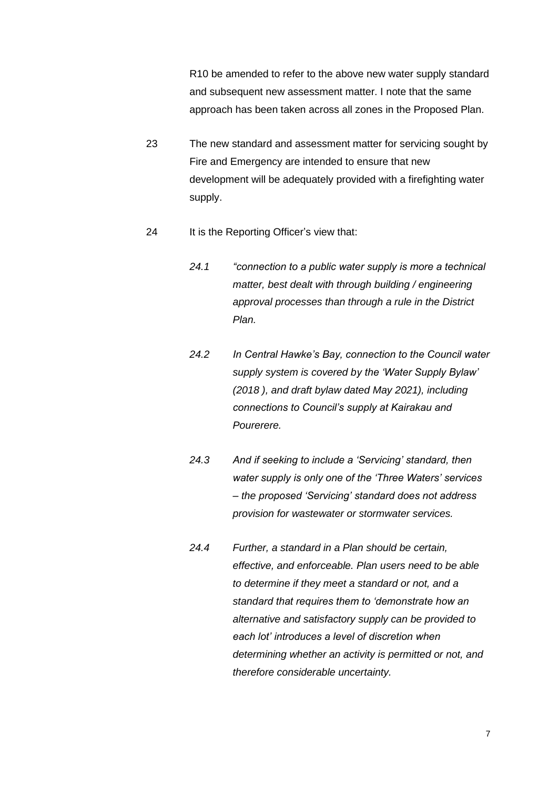R10 be amended to refer to the above new water supply standard and subsequent new assessment matter. I note that the same approach has been taken across all zones in the Proposed Plan.

- 23 The new standard and assessment matter for servicing sought by Fire and Emergency are intended to ensure that new development will be adequately provided with a firefighting water supply.
- 24 It is the Reporting Officer's view that:
	- *24.1 "connection to a public water supply is more a technical matter, best dealt with through building / engineering approval processes than through a rule in the District Plan.*
	- *24.2 In Central Hawke's Bay, connection to the Council water supply system is covered by the 'Water Supply Bylaw' (2018 ), and draft bylaw dated May 2021), including connections to Council's supply at Kairakau and Pourerere.*
	- *24.3 And if seeking to include a 'Servicing' standard, then water supply is only one of the 'Three Waters' services – the proposed 'Servicing' standard does not address provision for wastewater or stormwater services.*
	- *24.4 Further, a standard in a Plan should be certain, effective, and enforceable. Plan users need to be able to determine if they meet a standard or not, and a standard that requires them to 'demonstrate how an alternative and satisfactory supply can be provided to each lot' introduces a level of discretion when determining whether an activity is permitted or not, and therefore considerable uncertainty.*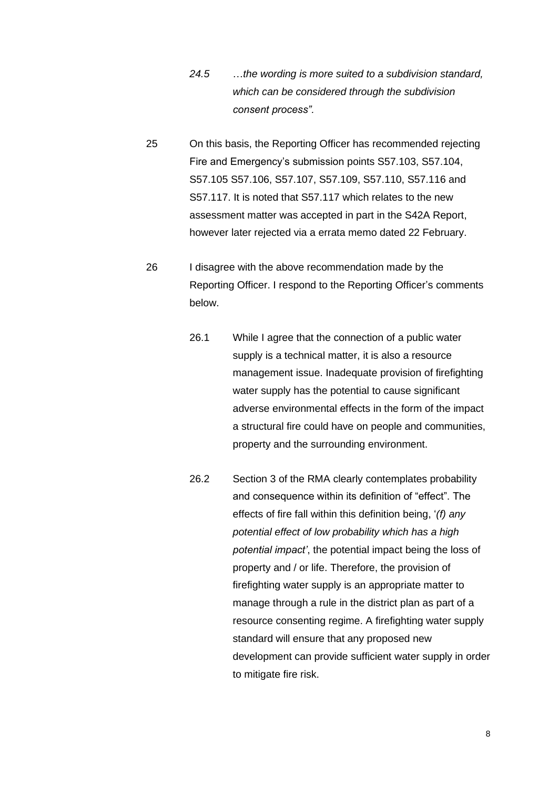- *24.5* …*the wording is more suited to a subdivision standard, which can be considered through the subdivision consent process".*
- 25 On this basis, the Reporting Officer has recommended rejecting Fire and Emergency's submission points S57.103, S57.104, S57.105 S57.106, S57.107, S57.109, S57.110, S57.116 and S57.117. It is noted that S57.117 which relates to the new assessment matter was accepted in part in the S42A Report, however later rejected via a errata memo dated 22 February.
- 26 I disagree with the above recommendation made by the Reporting Officer. I respond to the Reporting Officer's comments below.
	- 26.1 While I agree that the connection of a public water supply is a technical matter, it is also a resource management issue. Inadequate provision of firefighting water supply has the potential to cause significant adverse environmental effects in the form of the impact a structural fire could have on people and communities, property and the surrounding environment.
	- 26.2 Section 3 of the RMA clearly contemplates probability and consequence within its definition of "effect". The effects of fire fall within this definition being, '*(f) any potential effect of low probability which has a high potential impact'*, the potential impact being the loss of property and / or life. Therefore, the provision of firefighting water supply is an appropriate matter to manage through a rule in the district plan as part of a resource consenting regime. A firefighting water supply standard will ensure that any proposed new development can provide sufficient water supply in order to mitigate fire risk.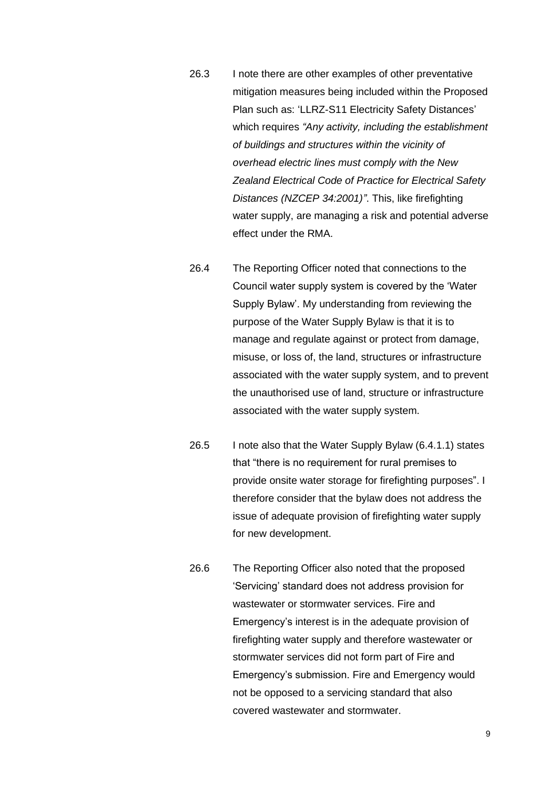- 26.3 I note there are other examples of other preventative mitigation measures being included within the Proposed Plan such as: 'LLRZ-S11 Electricity Safety Distances' which requires *"Any activity, including the establishment of buildings and structures within the vicinity of overhead electric lines must comply with the New Zealand Electrical Code of Practice for Electrical Safety Distances (NZCEP 34:2001)"*. This, like firefighting water supply, are managing a risk and potential adverse effect under the RMA.
- 26.4 The Reporting Officer noted that connections to the Council water supply system is covered by the 'Water Supply Bylaw'. My understanding from reviewing the purpose of the Water Supply Bylaw is that it is to manage and regulate against or protect from damage, misuse, or loss of, the land, structures or infrastructure associated with the water supply system, and to prevent the unauthorised use of land, structure or infrastructure associated with the water supply system.
- 26.5 I note also that the Water Supply Bylaw (6.4.1.1) states that "there is no requirement for rural premises to provide onsite water storage for firefighting purposes". I therefore consider that the bylaw does not address the issue of adequate provision of firefighting water supply for new development.
- 26.6 The Reporting Officer also noted that the proposed 'Servicing' standard does not address provision for wastewater or stormwater services. Fire and Emergency's interest is in the adequate provision of firefighting water supply and therefore wastewater or stormwater services did not form part of Fire and Emergency's submission. Fire and Emergency would not be opposed to a servicing standard that also covered wastewater and stormwater.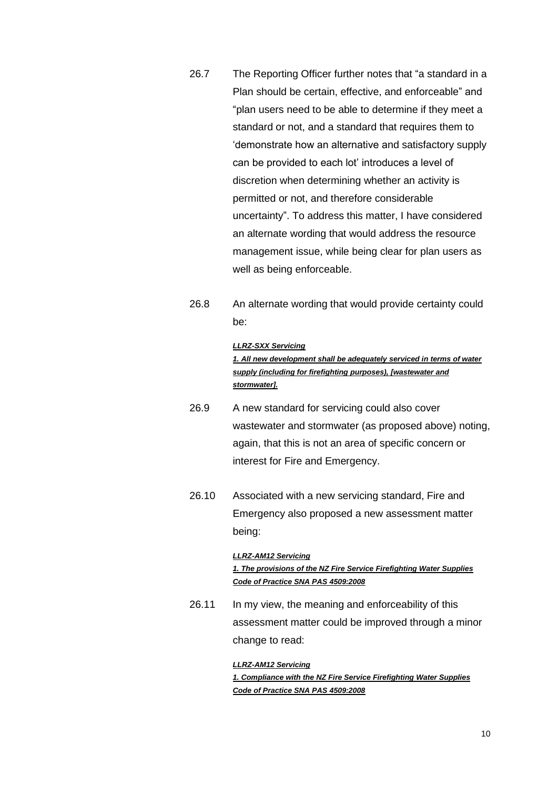- 26.7 The Reporting Officer further notes that "a standard in a Plan should be certain, effective, and enforceable" and "plan users need to be able to determine if they meet a standard or not, and a standard that requires them to 'demonstrate how an alternative and satisfactory supply can be provided to each lot' introduces a level of discretion when determining whether an activity is permitted or not, and therefore considerable uncertainty". To address this matter, I have considered an alternate wording that would address the resource management issue, while being clear for plan users as well as being enforceable.
- 26.8 An alternate wording that would provide certainty could be:

#### *LLRZ-SXX Servicing*

*1. All new development shall be adequately serviced in terms of water supply (including for firefighting purposes), [wastewater and stormwater].*

- 26.9 A new standard for servicing could also cover wastewater and stormwater (as proposed above) noting, again, that this is not an area of specific concern or interest for Fire and Emergency.
- 26.10 Associated with a new servicing standard, Fire and Emergency also proposed a new assessment matter being:

#### *LLRZ-AM12 Servicing*

*1. The provisions of the NZ Fire Service Firefighting Water Supplies Code of Practice SNA PAS 4509:2008*

26.11 In my view, the meaning and enforceability of this assessment matter could be improved through a minor change to read:

#### *LLRZ-AM12 Servicing*

*1. Compliance with the NZ Fire Service Firefighting Water Supplies Code of Practice SNA PAS 4509:2008*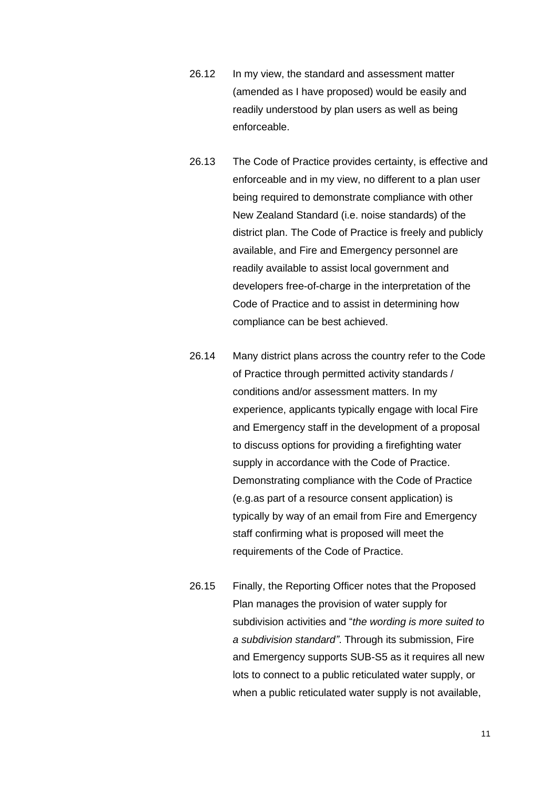- 26.12 In my view, the standard and assessment matter (amended as I have proposed) would be easily and readily understood by plan users as well as being enforceable.
- 26.13 The Code of Practice provides certainty, is effective and enforceable and in my view, no different to a plan user being required to demonstrate compliance with other New Zealand Standard (i.e. noise standards) of the district plan. The Code of Practice is freely and publicly available, and Fire and Emergency personnel are readily available to assist local government and developers free-of-charge in the interpretation of the Code of Practice and to assist in determining how compliance can be best achieved.
- 26.14 Many district plans across the country refer to the Code of Practice through permitted activity standards / conditions and/or assessment matters. In my experience, applicants typically engage with local Fire and Emergency staff in the development of a proposal to discuss options for providing a firefighting water supply in accordance with the Code of Practice. Demonstrating compliance with the Code of Practice (e.g.as part of a resource consent application) is typically by way of an email from Fire and Emergency staff confirming what is proposed will meet the requirements of the Code of Practice.
- 26.15 Finally, the Reporting Officer notes that the Proposed Plan manages the provision of water supply for subdivision activities and "*the wording is more suited to a subdivision standard"*. Through its submission, Fire and Emergency supports SUB-S5 as it requires all new lots to connect to a public reticulated water supply, or when a public reticulated water supply is not available.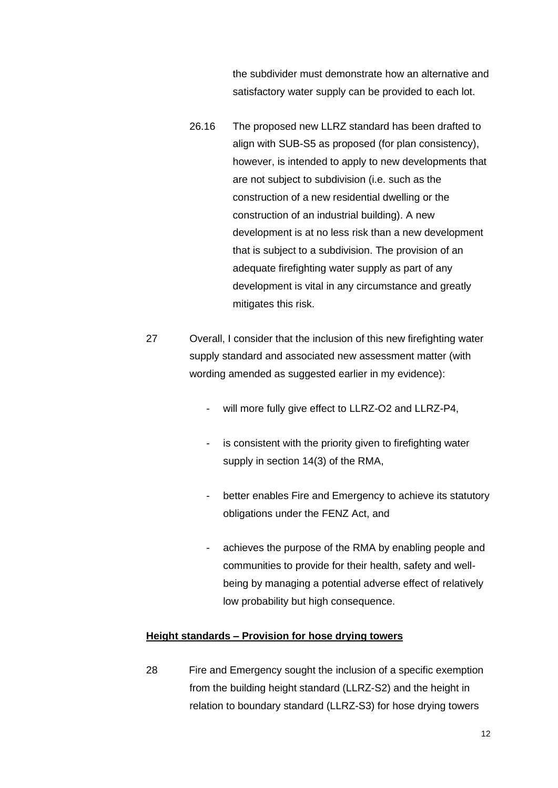the subdivider must demonstrate how an alternative and satisfactory water supply can be provided to each lot.

- 26.16 The proposed new LLRZ standard has been drafted to align with SUB-S5 as proposed (for plan consistency), however, is intended to apply to new developments that are not subject to subdivision (i.e. such as the construction of a new residential dwelling or the construction of an industrial building). A new development is at no less risk than a new development that is subject to a subdivision. The provision of an adequate firefighting water supply as part of any development is vital in any circumstance and greatly mitigates this risk.
- 27 Overall, I consider that the inclusion of this new firefighting water supply standard and associated new assessment matter (with wording amended as suggested earlier in my evidence):
	- will more fully give effect to LLRZ-O2 and LLRZ-P4.
	- is consistent with the priority given to firefighting water supply in section 14(3) of the RMA,
	- better enables Fire and Emergency to achieve its statutory obligations under the FENZ Act, and
	- achieves the purpose of the RMA by enabling people and communities to provide for their health, safety and wellbeing by managing a potential adverse effect of relatively low probability but high consequence.

### **Height standards – Provision for hose drying towers**

28 Fire and Emergency sought the inclusion of a specific exemption from the building height standard (LLRZ-S2) and the height in relation to boundary standard (LLRZ-S3) for hose drying towers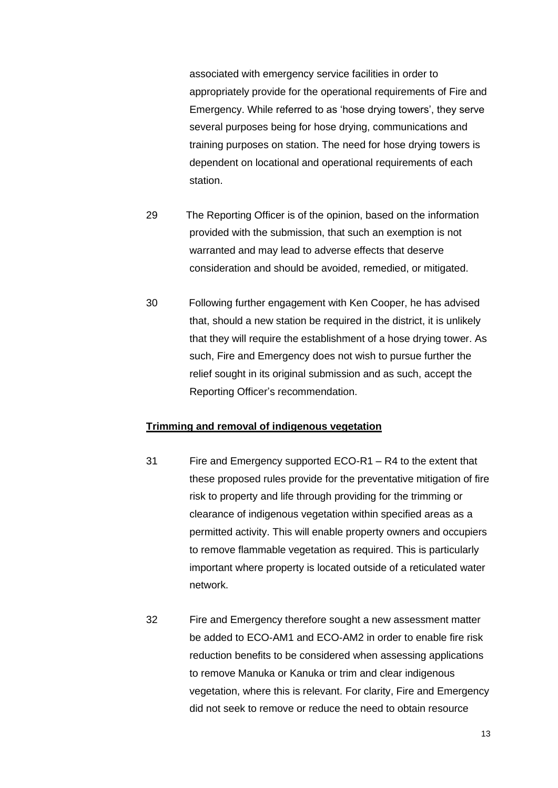associated with emergency service facilities in order to appropriately provide for the operational requirements of Fire and Emergency. While referred to as 'hose drying towers', they serve several purposes being for hose drying, communications and training purposes on station. The need for hose drying towers is dependent on locational and operational requirements of each station.

- 29 The Reporting Officer is of the opinion, based on the information provided with the submission, that such an exemption is not warranted and may lead to adverse effects that deserve consideration and should be avoided, remedied, or mitigated.
- 30 Following further engagement with Ken Cooper, he has advised that, should a new station be required in the district, it is unlikely that they will require the establishment of a hose drying tower. As such, Fire and Emergency does not wish to pursue further the relief sought in its original submission and as such, accept the Reporting Officer's recommendation.

## **Trimming and removal of indigenous vegetation**

- 31 Fire and Emergency supported ECO-R1 R4 to the extent that these proposed rules provide for the preventative mitigation of fire risk to property and life through providing for the trimming or clearance of indigenous vegetation within specified areas as a permitted activity. This will enable property owners and occupiers to remove flammable vegetation as required. This is particularly important where property is located outside of a reticulated water network.
- 32 Fire and Emergency therefore sought a new assessment matter be added to ECO-AM1 and ECO-AM2 in order to enable fire risk reduction benefits to be considered when assessing applications to remove Manuka or Kanuka or trim and clear indigenous vegetation, where this is relevant. For clarity, Fire and Emergency did not seek to remove or reduce the need to obtain resource